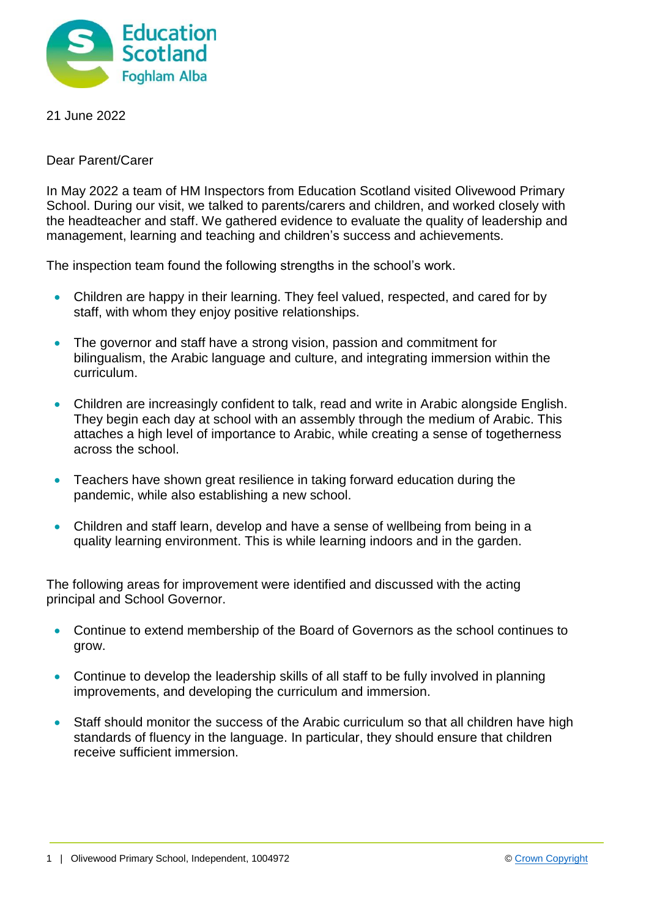

21 June 2022

Dear Parent/Carer

In May 2022 a team of HM Inspectors from Education Scotland visited Olivewood Primary School. During our visit, we talked to parents/carers and children, and worked closely with the headteacher and staff. We gathered evidence to evaluate the quality of leadership and management, learning and teaching and children's success and achievements.

The inspection team found the following strengths in the school's work.

- Children are happy in their learning. They feel valued, respected, and cared for by staff, with whom they enjoy positive relationships.
- The governor and staff have a strong vision, passion and commitment for bilingualism, the Arabic language and culture, and integrating immersion within the curriculum.
- Children are increasingly confident to talk, read and write in Arabic alongside English. They begin each day at school with an assembly through the medium of Arabic. This attaches a high level of importance to Arabic, while creating a sense of togetherness across the school.
- Teachers have shown great resilience in taking forward education during the pandemic, while also establishing a new school.
- Children and staff learn, develop and have a sense of wellbeing from being in a quality learning environment. This is while learning indoors and in the garden.

The following areas for improvement were identified and discussed with the acting principal and School Governor.

- Continue to extend membership of the Board of Governors as the school continues to grow.
- Continue to develop the leadership skills of all staff to be fully involved in planning improvements, and developing the curriculum and immersion.
- Staff should monitor the success of the Arabic curriculum so that all children have high standards of fluency in the language. In particular, they should ensure that children receive sufficient immersion.